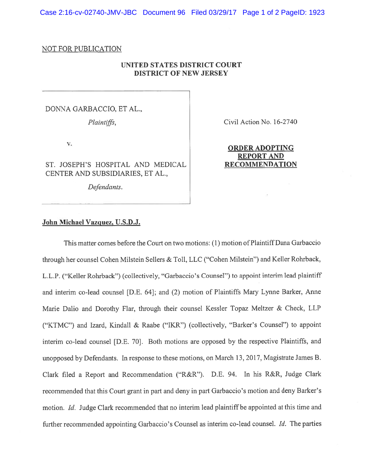Case 2:16-cv-02740-JMV-JBC Document 96 Filed 03/29/17 Page 1 of 2 PageID: 1923

## NOT FOR PUBLICATION

## UNITED STATES DISTRICT COURT DISTRICT OF NEW JERSEY

DONNA GARBACCIO, ET AL,

ST. JOSEPH'S HOSPITAL AND MEDICAL RECOMMENDATION CENTER AND SUBSIDIARIES, ET AL.,

Defendants.

Plaintiffs, Civil Action No. 16-2740

## V.<br>**ORDER ADOPTING** REPORT AND

## John Michael Vazguez, U.S.D.J.

This matter comes before the Court on two motions: (1) motion of Plaintiff Dana Garbaccio through her counsel Cohen Milstein Sellers & Toll, LLC ("Cohen Milstein") and Keller Rohrback, L.L.P. ("Keller Rohrback") (collectively, "Garbaccio's Counsel") to appoint interim lead <sup>p</sup>laintiff and interim co-lead counsel [D.E. 64]; and (2) motion of Plaintiffs Mary Lynne Barker, Anne Marie Dalio and Dorothy Flar, through their counsel Kessler Topaz Meltzer & Check, LLP ("KTMC") and Izard, Kindall & Raabe ("IKR") (collectively, "Barker's Counsel") to appoint interim co-lead counsel [D.E. 70]. Both motions are opposed by the respective Plaintiffs, and unoppose<sup>d</sup> by Defendants. In response to these motions, on March 13, 2017, Magistrate James B. Clark filed <sup>a</sup> Report and Recommendation ("R&R"). D.E. 94. In his R&R, Judge Clark recommended that this Court gran<sup>t</sup> in par<sup>t</sup> and deny in par<sup>t</sup> Garbaccio's motion and deny Barker's motion. Id. Judge Clark recommended that no interim lead plaintiff be appointed at this time and further recommended appointing Garbaccio's Counsel as interim co-lead counsel. *Id.* The parties